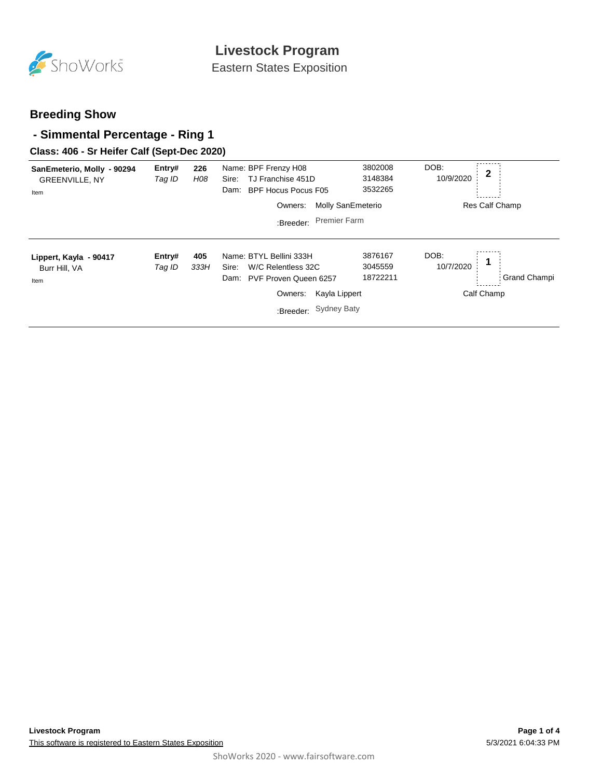

Eastern States Exposition

## **Breeding Show**

### **- Simmental Percentage - Ring 1**

### **Class: 406 - Sr Heifer Calf (Sept-Dec 2020)**

| SanEmeterio, Molly - 90294<br><b>GREENVILLE, NY</b><br>Item | Entry#<br>Tag ID | 226<br>H08  | Name: BPF Frenzy H08<br>TJ Franchise 451D<br>Sire:<br><b>BPF Hocus Pocus F05</b><br>Dam:<br><b>Molly SanEmeterio</b><br>Owners:              | 3802008<br>3148384<br>3532265  | DOB:<br>$\mathbf 2$<br>10/9/2020<br>Res Calf Champ             |
|-------------------------------------------------------------|------------------|-------------|----------------------------------------------------------------------------------------------------------------------------------------------|--------------------------------|----------------------------------------------------------------|
|                                                             |                  |             | <b>Premier Farm</b><br>:Breeder:                                                                                                             |                                |                                                                |
| Lippert, Kayla - 90417<br>Burr Hill, VA<br>Item             | Entry#<br>Tag ID | 405<br>333H | Name: BTYL Bellini 333H<br>Sire:<br>W/C Relentless 32C<br>PVF Proven Queen 6257<br>Dam:<br>Owners:<br>Kayla Lippert<br>:Breeder: Sydney Baty | 3876167<br>3045559<br>18722211 | DOB:<br>$\mathbf 1$<br>10/7/2020<br>Grand Champi<br>Calf Champ |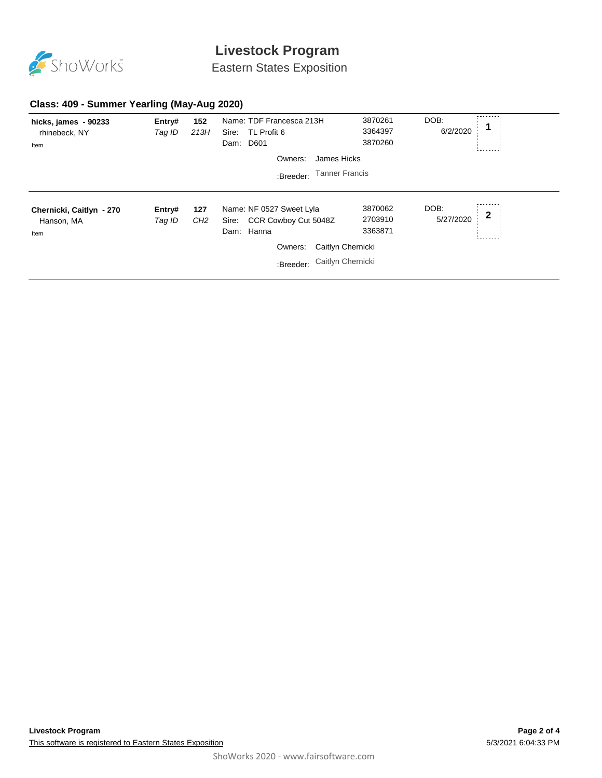

# **Livestock Program**

Eastern States Exposition

### **Class: 409 - Summer Yearling (May-Aug 2020)**

| hicks, james - 90233<br>rhinebeck, NY<br>Item  | Entry#<br>Tag ID             | 152<br>213H            | Name: TDF Francesca 213H<br>Sire:<br>TL Profit 6<br>D601<br>Dam:        | 3870261<br>3364397<br>3870260 | DOB:<br>6/2/2020  | ------- |
|------------------------------------------------|------------------------------|------------------------|-------------------------------------------------------------------------|-------------------------------|-------------------|---------|
|                                                |                              |                        | James Hicks<br>Owners:                                                  |                               |                   |         |
| <b>Tanner Francis</b><br>:Breeder:             |                              |                        |                                                                         |                               |                   |         |
|                                                |                              |                        |                                                                         |                               |                   |         |
| Chernicki, Caitlyn - 270<br>Hanson, MA<br>Item | Entry#<br>Tag ID             | 127<br>CH <sub>2</sub> | Name: NF 0527 Sweet Lyla<br>CCR Cowboy Cut 5048Z<br>Sire:<br>Dam: Hanna | 3870062<br>2703910<br>3363871 | DOB:<br>5/27/2020 | 2       |
|                                                | Caitlyn Chernicki<br>Owners: |                        |                                                                         |                               |                   |         |
|                                                |                              |                        | :Breeder: Caitlyn Chernicki                                             |                               |                   |         |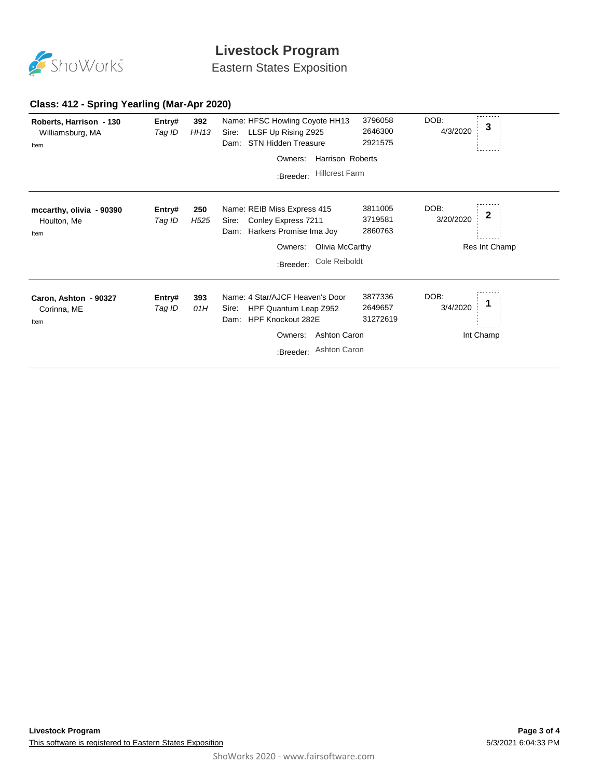

# **Livestock Program**

Eastern States Exposition

#### **Class: 412 - Spring Yearling (Mar-Apr 2020)**

| Roberts, Harrison - 130<br>Williamsburg, MA<br>Item | Entry#<br>Tag ID | 392<br><b>HH13</b>      | Name: HFSC Howling Coyote HH13<br>LLSF Up Rising Z925<br>Sire:<br>STN Hidden Treasure<br>Dam:                                                                        | 3796058<br>2646300<br>2921575  | DOB:<br>4/3/2020  | 3              |
|-----------------------------------------------------|------------------|-------------------------|----------------------------------------------------------------------------------------------------------------------------------------------------------------------|--------------------------------|-------------------|----------------|
|                                                     |                  |                         | <b>Harrison Roberts</b><br>Owners:                                                                                                                                   |                                |                   |                |
|                                                     |                  |                         | <b>Hillcrest Farm</b><br>:Breeder:                                                                                                                                   |                                |                   |                |
| mccarthy, olivia - 90390<br>Houlton, Me<br>Item     | Entry#<br>Tag ID | 250<br>H <sub>525</sub> | Name: REIB Miss Express 415<br>Conley Express 7211<br>Sire:<br>Harkers Promise Ima Joy<br>Dam:                                                                       | 3811005<br>3719581<br>2860763  | DOB:<br>3/20/2020 | 2              |
|                                                     |                  |                         | Olivia McCarthy<br>Owners:                                                                                                                                           |                                | Res Int Champ     |                |
|                                                     |                  |                         | Cole Reiboldt<br>:Breeder:                                                                                                                                           |                                |                   |                |
| Caron, Ashton - 90327<br>Corinna, ME<br>Item        | Entry#<br>Tag ID | 393<br>01H              | Name: 4 Star/AJCF Heaven's Door<br>HPF Quantum Leap Z952<br>Sire:<br><b>HPF Knockout 282E</b><br>Dam:<br><b>Ashton Caron</b><br>Owners:<br>Ashton Caron<br>:Breeder: | 3877336<br>2649657<br>31272619 | DOB:<br>3/4/2020  | 1<br>Int Champ |
|                                                     |                  |                         |                                                                                                                                                                      |                                |                   |                |